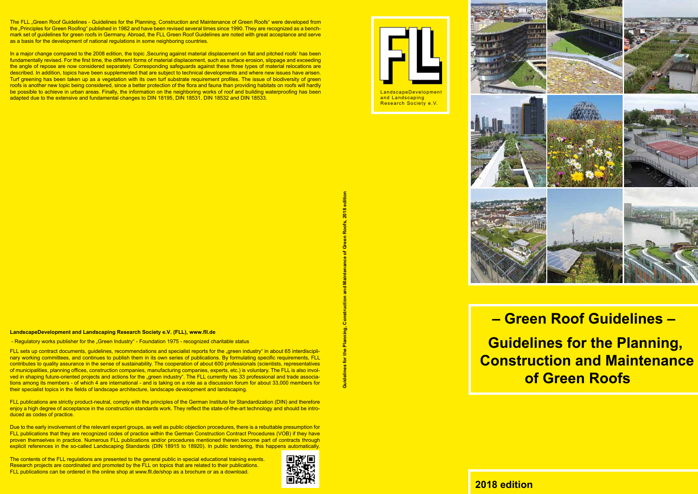

LandscapeDevelopment and Landscaping Research Society e.V.



# **– Green Roof Guidelines –**

 **Guidelines for the Planning, Construction and Maintenance of Green Roofs**

# **2018 edition**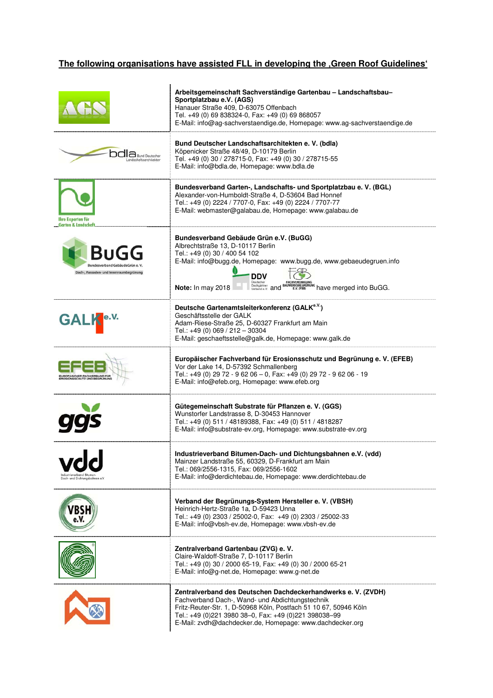### The following organisations have assisted FLL in developing the , Green Roof Guidelines'

|                                                                                     | Arbeitsgemeinschaft Sachverständige Gartenbau - Landschaftsbau-<br>Sportplatzbau e.V. (AGS)<br>Hanauer Straße 409, D-63075 Offenbach<br>Tel. +49 (0) 69 838324-0, Fax: +49 (0) 69 868057<br>E-Mail: info@ag-sachverstaendige.de, Homepage: www.ag-sachverstaendige.de                                                                |
|-------------------------------------------------------------------------------------|--------------------------------------------------------------------------------------------------------------------------------------------------------------------------------------------------------------------------------------------------------------------------------------------------------------------------------------|
| $\Box$ Bund Deutsche                                                                | Bund Deutscher Landschaftsarchitekten e. V. (bdla)<br>Köpenicker Straße 48/49, D-10179 Berlin<br>Tel. +49 (0) 30 / 278715-0, Fax: +49 (0) 30 / 278715-55<br>E-Mail: info@bdla.de, Homepage: www.bdla.de                                                                                                                              |
| Ihre Experten für<br><b>Garten &amp; Landscl</b>                                    | Bundesverband Garten-, Landschafts- und Sportplatzbau e. V. (BGL)<br>Alexander-von-Humboldt-Straße 4, D-53604 Bad Honnef<br>Tel.: +49 (0) 2224 / 7707-0, Fax: +49 (0) 2224 / 7707-77<br>E-Mail: webmaster@galabau.de, Homepage: www.galabau.de                                                                                       |
| BuGG<br><b>Bundesverband GebäudeGrün</b><br>Dach-, Fassaden- und Innenraumbegrünung | Bundesverband Gebäude Grün e.V. (BuGG)<br>Albrechtstraße 13, D-10117 Berlin<br>Tel.: +49 (0) 30 / 400 54 102<br>E-Mail: info@bugg.de, Homepage: www.bugg.de, www.gebaeudegruen.info<br>DDV<br>Deutscher<br><b>FACHVEREINIGUN</b><br>BAUWERKSBEGRÜNUNG have merged into BuGG.<br>Dachgärtner<br>Note: In may 2018<br>Verband e.V. and |
| <b>GALI</b>                                                                         | Deutsche Gartenamtsleiterkonferenz (GALK <sup>e.V.</sup> )<br>Geschäftsstelle der GALK<br>Adam-Riese-Straße 25, D-60327 Frankfurt am Main<br>Tel.: +49 (0) 069 / 212 - 30304<br>E-Mail: geschaeftsstelle@galk.de, Homepage: www.galk.de                                                                                              |
|                                                                                     | Europäischer Fachverband für Erosionsschutz und Begrünung e. V. (EFEB)<br>Vor der Lake 14, D-57392 Schmallenberg<br>Tel.: +49 (0) 29 72 - 9 62 06 - 0, Fax: +49 (0) 29 72 - 9 62 06 - 19<br>E-Mail: info@efeb.org, Homepage: www.efeb.org                                                                                            |
|                                                                                     | Gütegemeinschaft Substrate für Pflanzen e. V. (GGS)<br>Wunstorfer Landstrasse 8, D-30453 Hannover<br>Tel.: +49 (0) 511 / 48189388, Fax: +49 (0) 511 / 4818287<br>E-Mail: info@substrate-ev.org, Homepage: www.substrate-ev.org                                                                                                       |
| Dach- und Dichtungsbahnen e.V                                                       | Industrieverband Bitumen-Dach- und Dichtungsbahnen e.V. (vdd)<br>Mainzer Landstraße 55, 60329, D-Frankfurt am Main<br>Tel.: 069/2556-1315, Fax: 069/2556-1602<br>E-Mail: info@derdichtebau.de, Homepage: www.derdichtebau.de                                                                                                         |
|                                                                                     | Verband der Begrünungs-System Hersteller e. V. (VBSH)<br>Heinrich-Hertz-Straße 1a, D-59423 Unna<br>Tel.: +49 (0) 2303 / 25002-0, Fax: +49 (0) 2303 / 25002-33<br>E-Mail: info@vbsh-ev.de, Homepage: www.vbsh-ev.de                                                                                                                   |
|                                                                                     | Zentralverband Gartenbau (ZVG) e. V.<br>Claire-Waldoff-Straße 7, D-10117 Berlin<br>Tel.: +49 (0) 30 / 2000 65-19, Fax: +49 (0) 30 / 2000 65-21<br>E-Mail: info@g-net.de, Homepage: www.g-net.de                                                                                                                                      |
|                                                                                     | Zentralverband des Deutschen Dachdeckerhandwerks e. V. (ZVDH)<br>Fachverband Dach-, Wand- und Abdichtungstechnik<br>Fritz-Reuter-Str. 1, D-50968 Köln, Postfach 51 10 67, 50946 Köln<br>Tel.: +49 (0)221 3980 38-0, Fax: +49 (0)221 398038-99<br>E-Mail: zvdh@dachdecker.de, Homepage: www.dachdecker.org                            |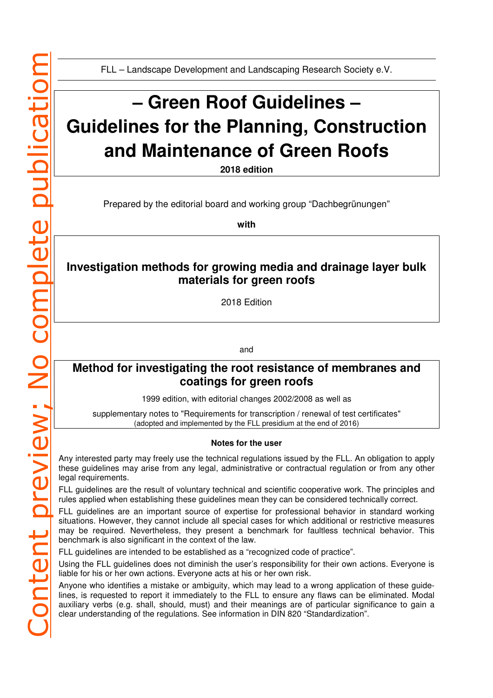FLL – Landscape Development and Landscaping Research Society e.V.

# **– Green Roof Guidelines – Guidelines for the Planning, Construction and Maintenance of Green Roofs**

**2018 edition** 

Prepared by the editorial board and working group "Dachbegrünungen"

**with** 

### **Investigation methods for growing media and drainage layer bulk materials for green roofs**

2018 Edition

and

### **Method for investigating the root resistance of membranes and coatings for green roofs**

1999 edition, with editorial changes 2002/2008 as well as

supplementary notes to "Requirements for transcription / renewal of test certificates" (adopted and implemented by the FLL presidium at the end of 2016)

#### **Notes for the user**

Any interested party may freely use the technical regulations issued by the FLL. An obligation to apply these guidelines may arise from any legal, administrative or contractual regulation or from any other legal requirements.

FLL guidelines are the result of voluntary technical and scientific cooperative work. The principles and rules applied when establishing these guidelines mean they can be considered technically correct.

FLL guidelines are an important source of expertise for professional behavior in standard working situations. However, they cannot include all special cases for which additional or restrictive measures may be required. Nevertheless, they present a benchmark for faultless technical behavior. This benchmark is also significant in the context of the law.

FLL guidelines are intended to be established as a "recognized code of practice".

Using the FLL guidelines does not diminish the user's responsibility for their own actions. Everyone is liable for his or her own actions. Everyone acts at his or her own risk.

Anyone who identifies a mistake or ambiguity, which may lead to a wrong application of these guidelines, is requested to report it immediately to the FLL to ensure any flaws can be eliminated. Modal auxiliary verbs (e.g. shall, should, must) and their meanings are of particular significance to gain a clear understanding of the regulations. See information in DIN 820 "Standardization".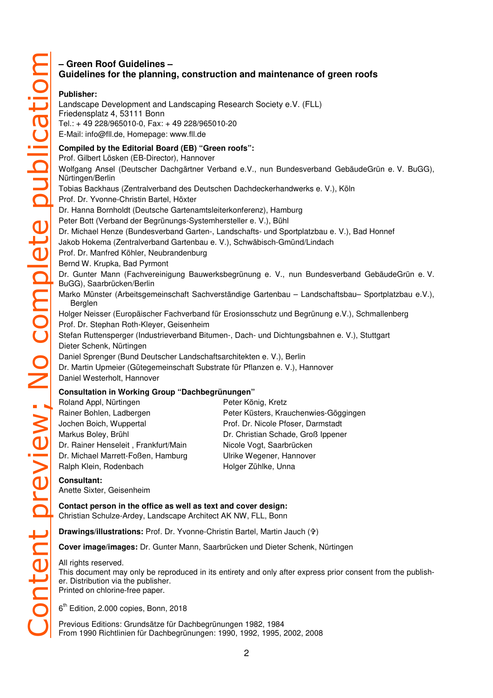### **– Green Roof Guidelines – Guidelines for the planning, construction and maintenance of green roofs**

#### **Publisher:**

Landscape Development and Landscaping Research Society e.V. (FLL) Friedensplatz 4, 53111 Bonn Tel.: + 49 228/965010-0, Fax: + 49 228/965010-20 E-Mail: info@fll.de, Homepage: www.fll.de

### **Compiled by the Editorial Board (EB) "Green roofs":**

Prof. Gilbert Lösken (EB-Director), Hannover

Wolfgang Ansel (Deutscher Dachgärtner Verband e.V., nun Bundesverband GebäudeGrün e. V. BuGG), Nürtingen/Berlin Tobias Backhaus (Zentralverband des Deutschen Dachdeckerhandwerks e. V.), Köln Prof. Dr. Yvonne-Christin Bartel, Höxter Dr. Hanna Bornholdt (Deutsche Gartenamtsleiterkonferenz), Hamburg Peter Bott (Verband der Begrünungs-Systemhersteller e. V.), Bühl Dr. Michael Henze (Bundesverband Garten-, Landschafts- und Sportplatzbau e. V.), Bad Honnef Jakob Hokema (Zentralverband Gartenbau e. V.), Schwäbisch-Gmünd/Lindach Prof. Dr. Manfred Köhler, Neubrandenburg Bernd W. Krupka, Bad Pyrmont Dr. Gunter Mann (Fachvereinigung Bauwerksbegrünung e. V., nun Bundesverband GebäudeGrün e. V. BuGG), Saarbrücken/Berlin Marko Münster (Arbeitsgemeinschaft Sachverständige Gartenbau – Landschaftsbau– Sportplatzbau e.V.), Berglen Holger Neisser (Europäischer Fachverband für Erosionsschutz und Begrünung e.V.), Schmallenberg Prof. Dr. Stephan Roth-Kleyer, Geisenheim Stefan Ruttensperger (Industrieverband Bitumen-, Dach- und Dichtungsbahnen e. V.), Stuttgart Dieter Schenk, Nürtingen Daniel Sprenger (Bund Deutscher Landschaftsarchitekten e. V.), Berlin Dr. Martin Upmeier (Gütegemeinschaft Substrate für Pflanzen e. V.), Hannover Daniel Westerholt, Hannover **Consultation in Working Group "Dachbegrünungen"** 

## Roland Appl, Nürtingen Peter König, Kretz

| <b>Tivianu Appi, numigen</b>         | <b>I GIGI INDITIU, INIGIZ</b>         |
|--------------------------------------|---------------------------------------|
| Rainer Bohlen, Ladbergen             | Peter Küsters, Krauchenwies-Göggingen |
| Jochen Boich, Wuppertal              | Prof. Dr. Nicole Pfoser, Darmstadt    |
| Markus Boley, Brühl                  | Dr. Christian Schade, Groß Ippener    |
| Dr. Rainer Henseleit, Frankfurt/Main | Nicole Vogt, Saarbrücken              |
| Dr. Michael Marrett-Foßen, Hamburg   | Ulrike Wegener, Hannover              |
| Ralph Klein, Rodenbach               | Holger Zühlke, Unna                   |
|                                      |                                       |

#### **Consultant:**

Anette Sixter, Geisenheim

**Contact person in the office as well as text and cover design:**  Christian Schulze-Ardey, Landscape Architect AK NW, FLL, Bonn

**Drawings/illustrations:** Prof. Dr. Yvonne-Christin Bartel, Martin Jauch ()

**Cover image/images:** Dr. Gunter Mann, Saarbrücken und Dieter Schenk, Nürtingen

#### All rights reserved.

This document may only be reproduced in its entirety and only after express prior consent from the publisher. Distribution via the publisher. Printed on chlorine-free paper.

6<sup>th</sup> Edition, 2.000 copies, Bonn, 2018

Previous Editions: Grundsätze für Dachbegrünungen 1982, 1984 From 1990 Richtlinien für Dachbegrünungen: 1990, 1992, 1995, 2002, 2008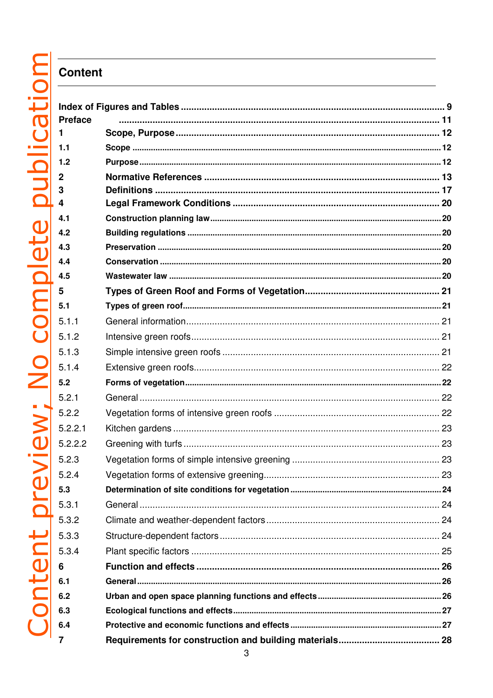# **Content**

| <b>Preface</b> |  |
|----------------|--|
| 1              |  |
| 1.1            |  |
| 1.2            |  |
| $\overline{2}$ |  |
| 3              |  |
| 4              |  |
| 4.1            |  |
| 4.2            |  |
| 4.3            |  |
| 4.4            |  |
| 4.5            |  |
| 5              |  |
| 5.1            |  |
| 5.1.1          |  |
| 5.1.2          |  |
| 5.1.3          |  |
| 5.1.4          |  |
| 5.2            |  |
| 5.2.1          |  |
| 5.2.2          |  |
| 5.2.2.1        |  |
| 5.2.2.2        |  |
| 5.2.3          |  |
| 5.2.4          |  |
| 5.3            |  |
| 5.3.1          |  |
| 5.3.2          |  |
| 5.3.3          |  |
| 5.3.4          |  |
| 6              |  |
| 6.1            |  |
| 6.2            |  |
|                |  |
| 6.3            |  |
| 6.4            |  |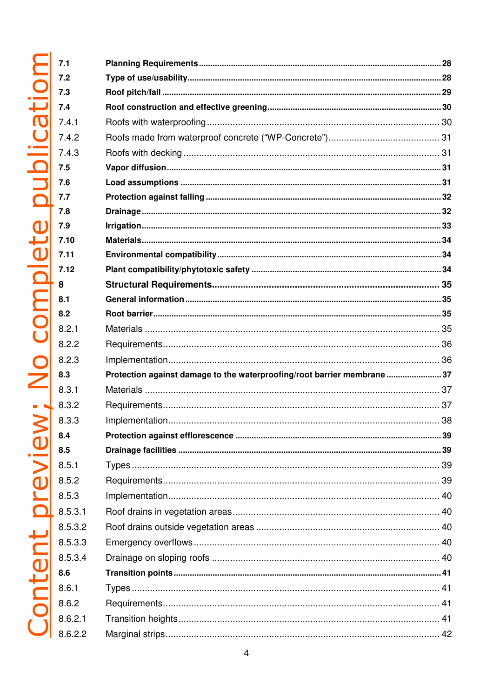| 4.1                      |                                                                          |  |
|--------------------------|--------------------------------------------------------------------------|--|
| 4.2                      |                                                                          |  |
| 4.3                      |                                                                          |  |
|                          |                                                                          |  |
|                          |                                                                          |  |
|                          |                                                                          |  |
|                          |                                                                          |  |
|                          |                                                                          |  |
| 0                        |                                                                          |  |
| 1                        |                                                                          |  |
| $\overline{2}$           |                                                                          |  |
|                          |                                                                          |  |
|                          |                                                                          |  |
|                          |                                                                          |  |
| 2.1                      |                                                                          |  |
| 2.2                      |                                                                          |  |
| 2.3                      |                                                                          |  |
|                          | Protection against damage to the waterproofing/root barrier membrane  37 |  |
| 3.1                      |                                                                          |  |
| 3.2                      |                                                                          |  |
| 3.3                      |                                                                          |  |
|                          |                                                                          |  |
|                          |                                                                          |  |
| 5.1                      |                                                                          |  |
| 5.2                      |                                                                          |  |
| 5.3                      |                                                                          |  |
| 5.3.1                    |                                                                          |  |
| 5.3.2                    |                                                                          |  |
| 5.3.3                    |                                                                          |  |
| 5.3.4                    |                                                                          |  |
|                          |                                                                          |  |
| $\overline{\phantom{1}}$ |                                                                          |  |
| 3.2                      |                                                                          |  |
| 3.2.1                    |                                                                          |  |
| 3.2.2                    |                                                                          |  |
|                          |                                                                          |  |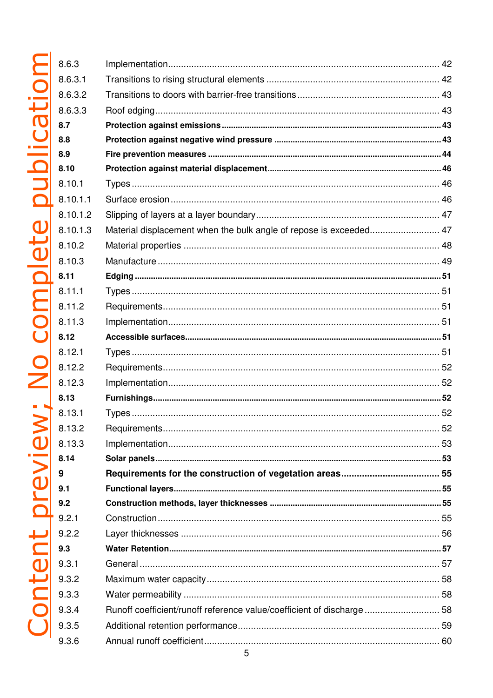| 8.6.3    |                                                                       |  |
|----------|-----------------------------------------------------------------------|--|
| 8.6.3.1  |                                                                       |  |
| 8.6.3.2  |                                                                       |  |
| 8.6.3.3  |                                                                       |  |
| 8.7      |                                                                       |  |
| 8.8      |                                                                       |  |
| 8.9      |                                                                       |  |
| 8.10     |                                                                       |  |
| 8.10.1   |                                                                       |  |
| 8.10.1.1 |                                                                       |  |
| 8.10.1.2 |                                                                       |  |
| 8.10.1.3 | Material displacement when the bulk angle of repose is exceeded 47    |  |
| 8.10.2   |                                                                       |  |
| 8.10.3   |                                                                       |  |
| 8.11     |                                                                       |  |
| 8.11.1   |                                                                       |  |
| 8.11.2   |                                                                       |  |
| 8.11.3   |                                                                       |  |
| 8.12     |                                                                       |  |
| 8.12.1   |                                                                       |  |
| 8.12.2   |                                                                       |  |
| 8.12.3   |                                                                       |  |
| 8.13     |                                                                       |  |
| 8.13.1   |                                                                       |  |
| 8.13.2   |                                                                       |  |
| 8.13.3   |                                                                       |  |
| 8.14     |                                                                       |  |
| 9        |                                                                       |  |
| 9.1      |                                                                       |  |
| 9.2      |                                                                       |  |
| 9.2.1    |                                                                       |  |
| 9.2.2    |                                                                       |  |
| 9.3      |                                                                       |  |
| 9.3.1    |                                                                       |  |
| 9.3.2    |                                                                       |  |
| 9.3.3    |                                                                       |  |
| 9.3.4    | Runoff coefficient/runoff reference value/coefficient of discharge 58 |  |
| 9.3.5    |                                                                       |  |
| 9.3.6    |                                                                       |  |
|          |                                                                       |  |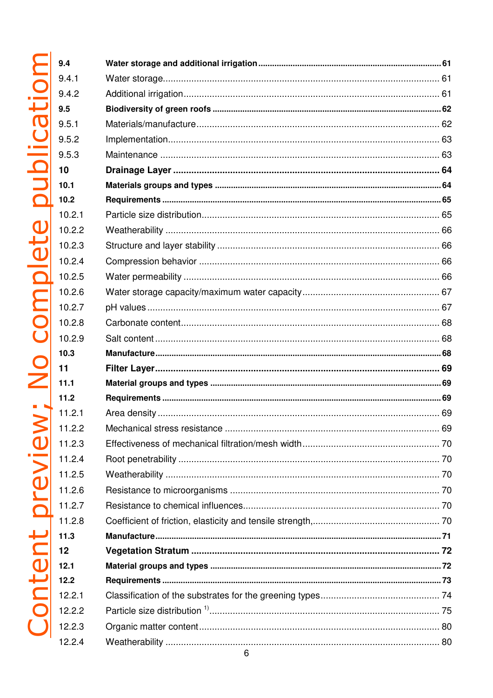| 4               |                              |    |
|-----------------|------------------------------|----|
| 4.1             |                              |    |
| 4.2             |                              |    |
| 5               |                              |    |
| 5.1             |                              |    |
| 5.2             |                              |    |
| 5.3             |                              |    |
|                 |                              |    |
| .1              |                              |    |
| .2              |                              |    |
| 0.2.1           |                              |    |
| 0.2.2           |                              |    |
| 0.2.3           |                              |    |
| 0.2.4           |                              |    |
| 0.2.5           |                              |    |
| 0.2.6           |                              |    |
| 0.2.7           |                              |    |
| 0.2.8           |                              |    |
| 0.2.9           |                              |    |
| $.3\,$          |                              |    |
|                 |                              |    |
| $\overline{.1}$ |                              |    |
| $\overline{2}$  |                              |    |
| 1.2.1           |                              |    |
| 1.2.2           | Mechanical stress resistance | 69 |
| 1.2.3           |                              |    |
| 1.2.4           |                              |    |
| 1.2.5           |                              |    |
| 1.2.6           |                              |    |
| 1.2.7           |                              |    |
| 1.2.8           |                              |    |
| $3 \cdot$       |                              |    |
|                 |                              |    |
| 2.1             |                              |    |
| 2.2             |                              |    |
| 2.2.1           |                              |    |
| 2.2.2           |                              |    |
| 2.2.3           |                              |    |
| 2.2.4           |                              |    |
|                 |                              |    |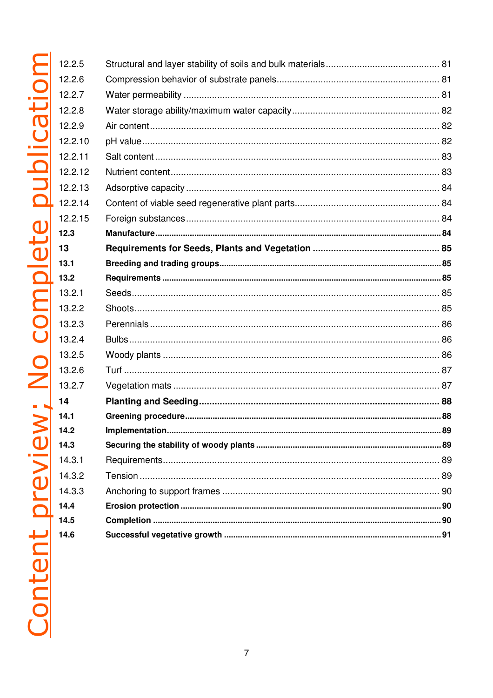| 12.2.5  |  |
|---------|--|
| 12.2.6  |  |
| 12.2.7  |  |
| 12.2.8  |  |
| 12.2.9  |  |
| 12.2.10 |  |
| 12.2.11 |  |
| 12.2.12 |  |
| 12.2.13 |  |
| 12.2.14 |  |
| 12.2.15 |  |
| 12.3    |  |
| 13      |  |
| 13.1    |  |
| 13.2    |  |
| 13.2.1  |  |
| 13.2.2  |  |
| 13.2.3  |  |
| 13.2.4  |  |
| 13.2.5  |  |
| 13.2.6  |  |
| 13.2.7  |  |
| 14      |  |
| 14.1    |  |
| 14.2    |  |
| 14.3    |  |
| 14.3.1  |  |
| 14.3.2  |  |
| 14.3.3  |  |
| 14.4    |  |
| 14.5    |  |
| 14.6    |  |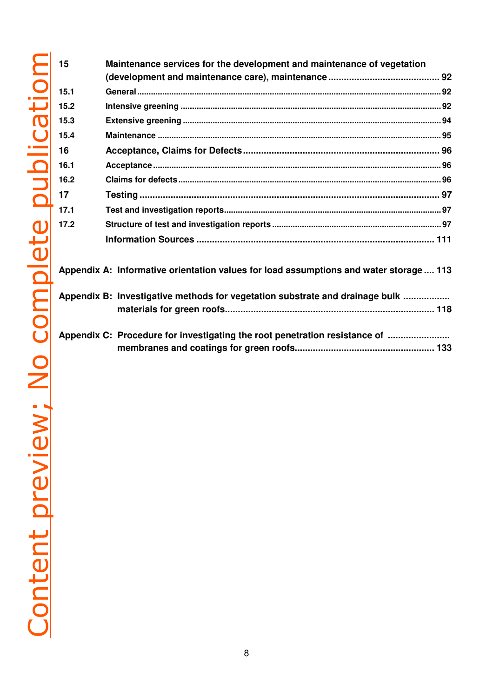| 15   | Maintenance services for the development and maintenance of vegetation                 |  |  |  |
|------|----------------------------------------------------------------------------------------|--|--|--|
|      |                                                                                        |  |  |  |
| 15.1 |                                                                                        |  |  |  |
| 15.2 |                                                                                        |  |  |  |
| 15.3 |                                                                                        |  |  |  |
| 15.4 |                                                                                        |  |  |  |
| 16   |                                                                                        |  |  |  |
| 16.1 |                                                                                        |  |  |  |
| 16.2 |                                                                                        |  |  |  |
| 17   |                                                                                        |  |  |  |
| 17.1 |                                                                                        |  |  |  |
| 17.2 |                                                                                        |  |  |  |
|      |                                                                                        |  |  |  |
|      | Appendix A: Informative orientation values for load assumptions and water storage  113 |  |  |  |
|      | Appendix B: Investigative methods for vegetation substrate and drainage bulk           |  |  |  |
|      |                                                                                        |  |  |  |
|      | Appendix C: Procedure for investigating the root penetration resistance of             |  |  |  |
|      |                                                                                        |  |  |  |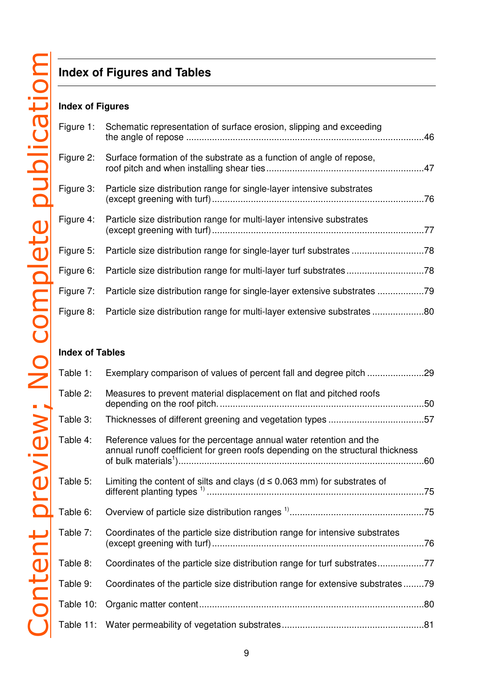# **Index of Figures and Tables**

### **Index of Figures**

|           | Figure 1: Schematic representation of surface erosion, slipping and exceeding      |  |
|-----------|------------------------------------------------------------------------------------|--|
| Figure 2: | Surface formation of the substrate as a function of angle of repose,               |  |
| Figure 3: | Particle size distribution range for single-layer intensive substrates             |  |
| Figure 4: | Particle size distribution range for multi-layer intensive substrates              |  |
|           | Figure 5: Particle size distribution range for single-layer turf substrates        |  |
|           | Figure 6: Particle size distribution range for multi-layer turf substrates78       |  |
|           | Figure 7: Particle size distribution range for single-layer extensive substrates   |  |
|           | Figure 8: Particle size distribution range for multi-layer extensive substrates 80 |  |

### **Index of Tables**

| Table 1:  |                                                                                                                                                       |  |
|-----------|-------------------------------------------------------------------------------------------------------------------------------------------------------|--|
| Table 2:  | Measures to prevent material displacement on flat and pitched roofs                                                                                   |  |
| Table 3:  | Thicknesses of different greening and vegetation types 57                                                                                             |  |
| Table 4:  | Reference values for the percentage annual water retention and the<br>annual runoff coefficient for green roofs depending on the structural thickness |  |
| Table 5:  | Limiting the content of silts and clays ( $d \le 0.063$ mm) for substrates of                                                                         |  |
| Table 6:  |                                                                                                                                                       |  |
| Table 7:  | Coordinates of the particle size distribution range for intensive substrates                                                                          |  |
| Table 8:  | Coordinates of the particle size distribution range for turf substrates77                                                                             |  |
| Table 9:  | Coordinates of the particle size distribution range for extensive substrates79                                                                        |  |
| Table 10: |                                                                                                                                                       |  |
|           |                                                                                                                                                       |  |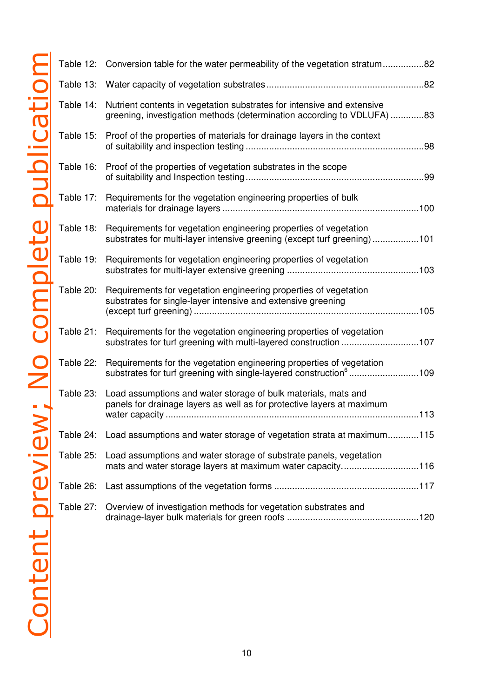|                 | Table 12: | Conversion table for the water permeability of the vegetation stratum82                                                                                |  |
|-----------------|-----------|--------------------------------------------------------------------------------------------------------------------------------------------------------|--|
|                 |           |                                                                                                                                                        |  |
| oublicatio      | Table 14: | Nutrient contents in vegetation substrates for intensive and extensive<br>greening, investigation methods (determination according to VDLUFA) 83       |  |
|                 | Table 15: | Proof of the properties of materials for drainage layers in the context                                                                                |  |
|                 | Table 16: | Proof of the properties of vegetation substrates in the scope                                                                                          |  |
|                 | Table 17: | Requirements for the vegetation engineering properties of bulk                                                                                         |  |
|                 | Table 18: | Requirements for vegetation engineering properties of vegetation<br>substrates for multi-layer intensive greening (except turf greening)101            |  |
|                 | Table 19: | Requirements for vegetation engineering properties of vegetation                                                                                       |  |
| mplete          | Table 20: | Requirements for vegetation engineering properties of vegetation<br>substrates for single-layer intensive and extensive greening                       |  |
|                 | Table 21: | Requirements for the vegetation engineering properties of vegetation<br>substrates for turf greening with multi-layered construction 107               |  |
| C               | Table 22: | Requirements for the vegetation engineering properties of vegetation<br>substrates for turf greening with single-layered construction <sup>6</sup> 109 |  |
|                 | Table 23: | Load assumptions and water storage of bulk materials, mats and<br>panels for drainage layers as well as for protective layers at maximum               |  |
|                 | Table 24: | Load assumptions and water storage of vegetation strata at maximum115                                                                                  |  |
| Content preview | Table 25: | Load assumptions and water storage of substrate panels, vegetation<br>mats and water storage layers at maximum water capacity116                       |  |
|                 | Table 26: |                                                                                                                                                        |  |
|                 | Table 27: | Overview of investigation methods for vegetation substrates and                                                                                        |  |
|                 |           |                                                                                                                                                        |  |
|                 |           |                                                                                                                                                        |  |
|                 |           |                                                                                                                                                        |  |
|                 |           |                                                                                                                                                        |  |
|                 |           |                                                                                                                                                        |  |

| igation methods for vegetation substrates and |  |
|-----------------------------------------------|--|
|                                               |  |
|                                               |  |
|                                               |  |
|                                               |  |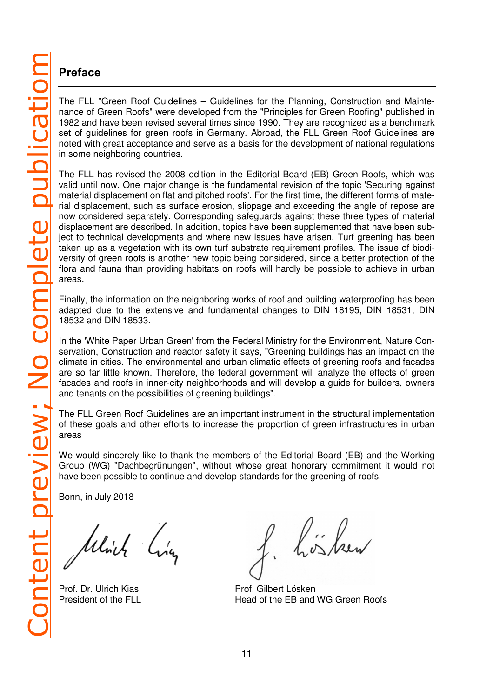### **Preface**

The FLL "Green Roof Guidelines – Guidelines for the Planning, Construction and Maintenance of Green Roofs" were developed from the "Principles for Green Roofing" published in 1982 and have been revised several times since 1990. They are recognized as a benchmark set of guidelines for green roofs in Germany. Abroad, the FLL Green Roof Guidelines are noted with great acceptance and serve as a basis for the development of national regulations in some neighboring countries.

The FLL has revised the 2008 edition in the Editorial Board (EB) Green Roofs, which was valid until now. One major change is the fundamental revision of the topic 'Securing against material displacement on flat and pitched roofs'. For the first time, the different forms of material displacement, such as surface erosion, slippage and exceeding the angle of repose are now considered separately. Corresponding safeguards against these three types of material displacement are described. In addition, topics have been supplemented that have been subject to technical developments and where new issues have arisen. Turf greening has been taken up as a vegetation with its own turf substrate requirement profiles. The issue of biodiversity of green roofs is another new topic being considered, since a better protection of the flora and fauna than providing habitats on roofs will hardly be possible to achieve in urban areas.

Finally, the information on the neighboring works of roof and building waterproofing has been adapted due to the extensive and fundamental changes to DIN 18195, DIN 18531, DIN 18532 and DIN 18533.

In the 'White Paper Urban Green' from the Federal Ministry for the Environment, Nature Conservation, Construction and reactor safety it says, "Greening buildings has an impact on the climate in cities. The environmental and urban climatic effects of greening roofs and facades are so far little known. Therefore, the federal government will analyze the effects of green facades and roofs in inner-city neighborhoods and will develop a guide for builders, owners and tenants on the possibilities of greening buildings".

The FLL Green Roof Guidelines are an important instrument in the structural implementation of these goals and other efforts to increase the proportion of green infrastructures in urban areas

We would sincerely like to thank the members of the Editorial Board (EB) and the Working Group (WG) "Dachbegrünungen", without whose great honorary commitment it would not have been possible to continue and develop standards for the greening of roofs.

Bonn, in July 2018

Which

Prof. Dr. Ulrich Kias Prof. Gilbert Lösken

l in land

President of the FLL **Head of the EB and WG Green Roofs**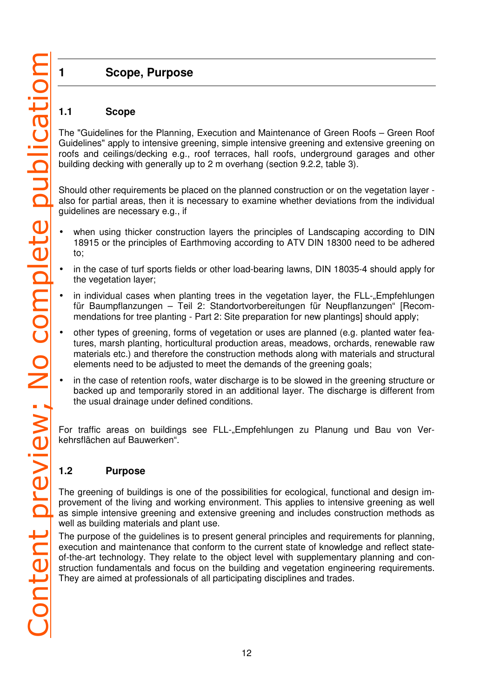# **1 Scope, Purpose**

### **1.1 Scope**

The "Guidelines for the Planning, Execution and Maintenance of Green Roofs – Green Roof Guidelines" apply to intensive greening, simple intensive greening and extensive greening on roofs and ceilings/decking e.g., roof terraces, hall roofs, underground garages and other building decking with generally up to 2 m overhang (section 9.2.2, table 3).

Should other requirements be placed on the planned construction or on the vegetation layer also for partial areas, then it is necessary to examine whether deviations from the individual guidelines are necessary e.g., if

- when using thicker construction layers the principles of Landscaping according to DIN 18915 or the principles of Earthmoving according to ATV DIN 18300 need to be adhered to;
- in the case of turf sports fields or other load-bearing lawns, DIN 18035-4 should apply for the vegetation layer;
- in individual cases when planting trees in the vegetation layer, the FLL-"Empfehlungen für Baumpflanzungen – Teil 2: Standortvorbereitungen für Neupflanzungen" [Recommendations for tree planting - Part 2: Site preparation for new plantings] should apply;
- other types of greening, forms of vegetation or uses are planned (e.g. planted water features, marsh planting, horticultural production areas, meadows, orchards, renewable raw materials etc.) and therefore the construction methods along with materials and structural elements need to be adjusted to meet the demands of the greening goals;
- in the case of retention roofs, water discharge is to be slowed in the greening structure or backed up and temporarily stored in an additional layer. The discharge is different from the usual drainage under defined conditions.

For traffic areas on buildings see FLL-"Empfehlungen zu Planung und Bau von Verkehrsflächen auf Bauwerken".

### **1.2 Purpose**

The greening of buildings is one of the possibilities for ecological, functional and design improvement of the living and working environment. This applies to intensive greening as well as simple intensive greening and extensive greening and includes construction methods as well as building materials and plant use.

The purpose of the guidelines is to present general principles and requirements for planning, execution and maintenance that conform to the current state of knowledge and reflect stateof-the-art technology. They relate to the object level with supplementary planning and construction fundamentals and focus on the building and vegetation engineering requirements. They are aimed at professionals of all participating disciplines and trades.